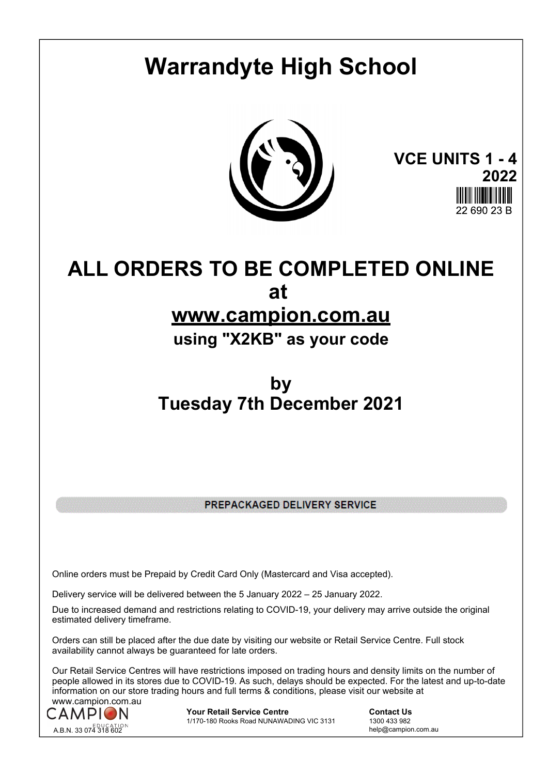# **Warrandyte High School**



**VCE UNITS 1 - 4 2022** 22 RQN 23 F

# **ALL ORDERS TO BE COMPLETED ONLINE at**

# **www.campion.com.au**

**using "X2KB" as your code**

# **by Tuesday 7th December 2021**

PREPACKAGED DELIVERY SERVICE

Online orders must be Prepaid by Credit Card Only (Mastercard and Visa accepted).

Delivery service will be delivered between the 5 January 2022 – 25 January 2022.

Due to increased demand and restrictions relating to COVID-19, your delivery may arrive outside the original estimated delivery timeframe.

Orders can still be placed after the due date by visiting our website or Retail Service Centre. Full stock availability cannot always be guaranteed for late orders.

Our Retail Service Centres will have restrictions imposed on trading hours and density limits on the number of people allowed in its stores due to COVID-19. As such, delays should be expected. For the latest and up-to-date information on our store trading hours and full terms & conditions, please visit our website at www.campion.com.au



**Your Retail Service Centre Contact Us**<br>
1770-180 Rooks Road NUNAWADING VIC 3131
1300 433 982 1/170-180 Rooks Road NUNAWADING VIC 3131

help@campion.com.au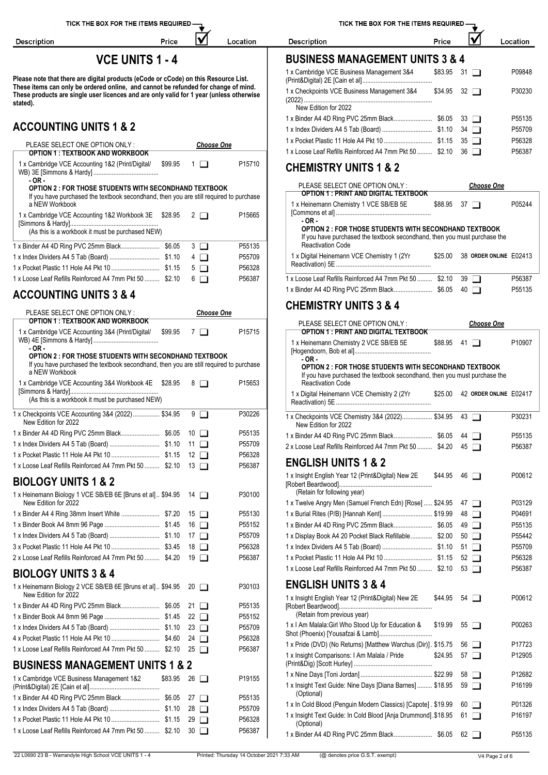Description

# **VCE UNITS 1 - 4**

IV

Location

Price

Please note that there are digital products (eCode or cCode) on this Resource List. **These items can only be ordered online, and cannot be refunded for change of mind. These products are single user licences and are only valid for 1 year (unless otherwise stated).**

# **ACCOUNTING UNITS 1 & 2**

| AUUUUNIINU UNIIJ I Q Z                                                                                   |         |             |                   |                                                                                                                                           |                    |                                | P55709 |
|----------------------------------------------------------------------------------------------------------|---------|-------------|-------------------|-------------------------------------------------------------------------------------------------------------------------------------------|--------------------|--------------------------------|--------|
| PLEASE SELECT ONE OPTION ONLY:                                                                           |         |             | <b>Choose One</b> |                                                                                                                                           |                    |                                | P56328 |
| <b>OPTION 1: TEXTBOOK AND WORKBOOK</b>                                                                   |         |             | P15710            | 1 x Loose Leaf Refills Reinforced A4 7mm Pkt 50  \$2.10 36                                                                                |                    |                                | P56387 |
| 1 x Cambridge VCE Accounting 1&2 (Print/Digital/<br>$-OR -$                                              | \$99.95 | $1\Box$     |                   | <b>CHEMISTRY UNITS 1 &amp; 2</b>                                                                                                          |                    |                                |        |
| <b>OPTION 2 : FOR THOSE STUDENTS WITH SECONDHAND TEXTBOOK</b>                                            |         |             |                   | PLEASE SELECT ONE OPTION ONLY :<br><b>OPTION 1 : PRINT AND DIGITAL TEXTBOOK</b>                                                           |                    | <b>Choose One</b>              |        |
| If you have purchased the textbook secondhand, then you are still required to purchase<br>a NEW Workbook |         |             |                   | 1 x Heinemann Chemistry 1 VCE SB/EB 5E                                                                                                    | $$88.95$ 37 $\Box$ |                                | P05244 |
| 1 x Cambridge VCE Accounting 1&2 Workbook 3E \$28.95                                                     |         | $2\Box$     | P15665            |                                                                                                                                           |                    |                                |        |
|                                                                                                          |         |             |                   | - OR -                                                                                                                                    |                    |                                |        |
| (As this is a workbook it must be purchased NEW)                                                         |         |             |                   | OPTION 2 : FOR THOSE STUDENTS WITH SECONDHAND TEXTBOOK<br>If you have purchased the textbook secondhand, then you must purchase the       |                    |                                |        |
|                                                                                                          |         | $3$ $\Box$  | P55135            | <b>Reactivation Code</b>                                                                                                                  |                    |                                |        |
|                                                                                                          |         | $4\Box$     | P55709            | 1 x Digital Heinemann VCE Chemistry 1 (2Yr                                                                                                |                    | \$25.00 38 ORDER ONLINE E02413 |        |
|                                                                                                          |         | $5\Box$     | P56328            |                                                                                                                                           |                    |                                |        |
| 1 x Loose Leaf Refills Reinforced A4 7mm Pkt 50  \$2.10                                                  |         | $6\Box$     | P56387            | 1 x Loose Leaf Refills Reinforced A4 7mm Pkt 50  \$2.10                                                                                   |                    | $39$ $\Box$                    | P56387 |
|                                                                                                          |         |             |                   |                                                                                                                                           |                    | $40$ $\Box$                    | P55135 |
| <b>ACCOUNTING UNITS 3 &amp; 4</b>                                                                        |         |             |                   | <b>CHEMISTRY UNITS 3 &amp; 4</b>                                                                                                          |                    |                                |        |
| PLEASE SELECT ONE OPTION ONLY:<br><b>OPTION 1: TEXTBOOK AND WORKBOOK</b>                                 |         |             | <b>Choose One</b> | PLEASE SELECT ONE OPTION ONLY:                                                                                                            |                    | <b>Choose One</b>              |        |
| 1 x Cambridge VCE Accounting 3&4 (Print/Digital/                                                         | \$99.95 | 7 □         | P15715            | <b>OPTION 1: PRINT AND DIGITAL TEXTBOOK</b>                                                                                               |                    |                                |        |
| - OR -                                                                                                   |         |             |                   | 1 x Heinemann Chemistry 2 VCE SB/EB 5E                                                                                                    | $$88.95$ 41 $\Box$ |                                | P10907 |
| <b>OPTION 2 : FOR THOSE STUDENTS WITH SECONDHAND TEXTBOOK</b>                                            |         |             |                   | - OR -                                                                                                                                    |                    |                                |        |
| If you have purchased the textbook secondhand, then you are still required to purchase<br>a NEW Workbook |         |             |                   | <b>OPTION 2: FOR THOSE STUDENTS WITH SECONDHAND TEXTBOOK</b><br>If you have purchased the textbook secondhand, then you must purchase the |                    |                                |        |
| 1 x Cambridge VCE Accounting 3&4 Workbook 4E \$28.95                                                     |         | 8 □         | P15653            | <b>Reactivation Code</b>                                                                                                                  |                    |                                |        |
| (As this is a workbook it must be purchased NEW)                                                         |         |             |                   | 1 x Digital Heinemann VCE Chemistry 2 (2Yr                                                                                                |                    | \$25.00 42 ORDER ONLINE E02417 |        |
| 1 x Checkpoints VCE Accounting 3&4 (2022) \$34.95                                                        |         | $9$ $\Box$  | P30226            |                                                                                                                                           |                    |                                |        |
| New Edition for 2022                                                                                     |         |             |                   | 1 x Checkpoints VCE Chemistry 3&4 (2022) \$34.95<br>New Edition for 2022                                                                  |                    | $43$ $\Box$                    | P30231 |
|                                                                                                          |         |             | P55135            |                                                                                                                                           |                    | 44 <b>n</b>                    | P55135 |
|                                                                                                          |         |             | P55709            | 2 x Loose Leaf Refills Reinforced A4 7mm Pkt 50  \$4.20                                                                                   |                    | $45\Box$                       | P56387 |
|                                                                                                          |         |             | P56328            |                                                                                                                                           |                    |                                |        |
| 1 x Loose Leaf Refills Reinforced A4 7mm Pkt 50  \$2.10 13                                               |         |             | P56387            | <b>ENGLISH UNITS 1 &amp; 2</b>                                                                                                            |                    |                                |        |
| <b>BIOLOGY UNITS 1 &amp; 2</b>                                                                           |         |             |                   | 1 x Insight English Year 12 (Print&Digital) New 2E                                                                                        | $$44.95$ 46 $\Box$ |                                | P00612 |
| 1 x Heinemann Biology 1 VCE SB/EB 6E [Bruns et al] \$94.95 14                                            |         |             | P30100            | (Retain for following year)                                                                                                               |                    |                                |        |
| New Edition for 2022                                                                                     |         |             |                   | 1 x Twelve Angry Men (Samuel French Edn) [Rose]  \$24.95                                                                                  |                    | 47 ⊔                           | P03129 |
|                                                                                                          |         |             | P55130            | 1 x Burial Rites (P/B) [Hannah Kent]  \$19.99                                                                                             |                    | 48 □                           | P04691 |
|                                                                                                          |         |             | P55152            |                                                                                                                                           |                    | 49 □                           | P55135 |
|                                                                                                          |         |             | P55709            | 1 x Display Book A4 20 Pocket Black Refillable \$2.00                                                                                     |                    | $50$ $\Box$                    | P55442 |
|                                                                                                          |         | 18 □        | P56328            |                                                                                                                                           |                    | $51$ $\Box$                    | P55709 |
| 2 x Loose Leaf Refills Reinforced A4 7mm Pkt 50  \$4.20 19                                               |         |             | P56387            |                                                                                                                                           |                    | $52$ $\Box$                    | P56328 |
| <b>BIOLOGY UNITS 3 &amp; 4</b>                                                                           |         |             |                   | 1 x Loose Leaf Refills Reinforced A4 7mm Pkt 50  \$2.10                                                                                   |                    | $53$ $\Box$                    | P56387 |
| 1 x Heinemann Biology 2 VCE SB/EB 6E [Bruns et al] \$94.95 20<br>New Edition for 2022                    |         |             | P30103            | <b>ENGLISH UNITS 3 &amp; 4</b><br>1 x Insight English Year 12 (Print&Digital) New 2E                                                      | \$44.95            | 54 $\Box$                      | P00612 |
|                                                                                                          |         | 21 $\Box$   | P55135            |                                                                                                                                           |                    |                                |        |
|                                                                                                          |         | 22 $\Box$   | P55152            | (Retain from previous year)                                                                                                               |                    |                                |        |
|                                                                                                          |         | $23$ $\Box$ | P55709            | 1 x I Am Malala: Girl Who Stood Up for Education &                                                                                        | \$19.99            | $55 \Box$                      | P00263 |
|                                                                                                          |         | 24 $\Box$   | P56328            |                                                                                                                                           |                    |                                |        |
| 1 x Loose Leaf Refills Reinforced A4 7mm Pkt 50  \$2.10                                                  |         | $25\Box$    | P56387            | 1 x Pride (DVD) (No Returns) [Matthew Warchus (Dir)]. \$15.75                                                                             |                    | 56 ⊔                           | P17723 |
| <b>BUSINESS MANAGEMENT UNITS 1 &amp; 2</b>                                                               |         |             |                   | 1 x Insight Comparisons: I Am Malala / Pride                                                                                              | \$24.95            | $57$ $\Box$                    | P12905 |
| 1 x Cambridge VCE Business Management 1&2                                                                | \$83.95 | $26$ $\Box$ | P19155            |                                                                                                                                           | \$22.99            | $58$ $\Box$                    | P12682 |
|                                                                                                          |         |             |                   | 1 x Insight Text Guide: Nine Days [Diana Barnes]  \$18.95                                                                                 |                    | $59$ $\Box$                    | P16199 |

1 x Binder A4 4D Ring PVC 25mm Black....................... \$6.05 27 P55135 1 x Index Dividers A4 5 Tab (Board) .............................. \$1.10 28 P55709 1 x Pocket Plastic 11 Hole A4 Pkt 10 ............................. \$1.15 29 P56328 1 x Loose Leaf Refills Reinforced A4 7mm Pkt 50 ......... \$2.10 30 PS6387

TICK THE BOX FOR THE ITEMS REQUIRED

Price

lV Location

# **BUSINESS MANAGEMENT UNITS 3 & 4**

| 1 x Cambridge VCE Business Management 3&4                  | $$83.95$ 31 $\Box$ | P09848 |
|------------------------------------------------------------|--------------------|--------|
| 1 x Checkpoints VCE Business Management 3&4                | $$34.95$ 32 $\Box$ | P30230 |
| New Edition for 2022                                       |                    |        |
| 1 x Binder A4 4D Ring PVC 25mm Black \$6.05 33 □           |                    | P55135 |
|                                                            |                    | P55709 |
| 1 x Pocket Plastic 11 Hole A4 Pkt 10  \$1.15 35 □          |                    | P56328 |
| 1 x Loose Leaf Refills Reinforced A4 7mm Pkt 50  \$2.10 36 |                    | P56387 |

Description

| 1 x Heinemann Chemistry 1 VCE SB/EB 5E<br>\$88.95<br>P05244<br>$37$ $\Box$<br>$-OR-$<br><b>OPTION 2 : FOR THOSE STUDENTS WITH SECONDHAND TEXTBOOK</b><br>If you have purchased the textbook secondhand, then you must purchase the<br>Reactivation Code<br>1 x Digital Heinemann VCE Chemistry 1 (2Yr<br>38 ORDER ONLINE E02413<br>\$25.00<br>1 x Loose Leaf Refills Reinforced A4 7mm Pkt 50  \$2.10<br>P56387<br>$39$ $\Box$<br>P <sub>55</sub> 135<br>40 | PLEASE SELECT ONE OPTION ONLY:<br>OPTION 1 . PRINT AND DIGITAL TEXTBOOK |  | <b>Choose One</b> |  |
|-------------------------------------------------------------------------------------------------------------------------------------------------------------------------------------------------------------------------------------------------------------------------------------------------------------------------------------------------------------------------------------------------------------------------------------------------------------|-------------------------------------------------------------------------|--|-------------------|--|
|                                                                                                                                                                                                                                                                                                                                                                                                                                                             |                                                                         |  |                   |  |
|                                                                                                                                                                                                                                                                                                                                                                                                                                                             |                                                                         |  |                   |  |
|                                                                                                                                                                                                                                                                                                                                                                                                                                                             |                                                                         |  |                   |  |
|                                                                                                                                                                                                                                                                                                                                                                                                                                                             |                                                                         |  |                   |  |

## **CHEMISTRY UNITS 3 & 4**

| PLEASE SELECT ONE OPTION ONLY:<br><b>OPTION 1: PRINT AND DIGITAL TEXTBOOK</b>                                                                                         |         |    | <b>Choose One</b>      |        |
|-----------------------------------------------------------------------------------------------------------------------------------------------------------------------|---------|----|------------------------|--------|
| 1 x Heinemann Chemistry 2 VCE SB/EB 5E<br>$-OR -$                                                                                                                     | \$88.95 |    | $41 \Box$              | P10907 |
| <b>OPTION 2: FOR THOSE STUDENTS WITH SECONDHAND TEXTBOOK</b><br>If you have purchased the textbook secondhand, then you must purchase the<br><b>Reactivation Code</b> |         |    |                        |        |
| 1 x Digital Heinemann VCE Chemistry 2 (2Yr                                                                                                                            | \$25.00 |    | 42 ORDER ONLINE E02417 |        |
| 1 x Checkpoints VCE Chemistry 3&4 (2022) \$34.95<br>New Edition for 2022                                                                                              |         |    | $43$ $\Box$            | P30231 |
|                                                                                                                                                                       |         |    | $44 \Box$              | P55135 |
| 2 x Loose Leaf Refills Reinforced A4 7mm Pkt 50  \$4.20                                                                                                               |         |    | $45\Box$               | P56387 |
| <b>ENGLISH UNITS 1 &amp; 2</b>                                                                                                                                        |         |    |                        |        |
| 1 x Insight English Year 12 (Print&Digital) New 2E<br>(Retain for following year)                                                                                     | \$44.95 |    | $46$ $\Box$            | P00612 |
| 1 x Twelve Angry Men (Samuel French Edn) [Rose]  \$24.95                                                                                                              |         |    | 47 I I                 | P03129 |
| 1 x Burial Rites (P/B) [Hannah Kent]  \$19.99                                                                                                                         |         |    | $48$ $\Box$            | P04691 |
|                                                                                                                                                                       |         |    | $49$ $\Box$            | P55135 |
| 1 x Display Book A4 20 Pocket Black Refillable \$2.00                                                                                                                 |         |    | $50$ $\Box$            | P55442 |
|                                                                                                                                                                       |         |    | 51 $\Box$              | P55709 |
|                                                                                                                                                                       |         |    | $52$ $\Box$            | P56328 |
| 1 x Loose Leaf Refills Reinforced A4 7mm Pkt 50  \$2.10                                                                                                               |         |    | $53$ $\Box$            | P56387 |
| <b>ENGLISH UNITS 3 &amp; 4</b>                                                                                                                                        |         |    |                        |        |
| 1 x Insight English Year 12 (Print&Digital) New 2E<br>(Retain from previous year)                                                                                     | \$44.95 |    | 54 $\Box$              | P00612 |
| 1 x I Am Malala: Girl Who Stood Up for Education &                                                                                                                    | \$19.99 | 55 | $\blacksquare$         | P00263 |
| 1 x Pride (DVD) (No Returns) [Matthew Warchus (Dir)]. \$15.75                                                                                                         |         | 56 |                        | P17723 |
| 1 x Insight Comparisons: I Am Malala / Pride                                                                                                                          | \$24.95 |    | 57 I                   | P12905 |
|                                                                                                                                                                       |         | 58 |                        | P12682 |
| 1 x Insight Text Guide: Nine Days [Diana Barnes]  \$18.95<br>(Optional)                                                                                               |         |    | $59$ $\Box$            | P16199 |
| 1 x In Cold Blood (Penguin Modern Classics) [Capote]. \$19.99                                                                                                         |         | 60 | f 1                    | P01326 |
| 1 x Insight Text Guide: In Cold Blood [Anja Drummond]. \$18.95<br>(Optional)                                                                                          |         |    | 61 $\Box$              | P16197 |
|                                                                                                                                                                       |         | 62 |                        | P55135 |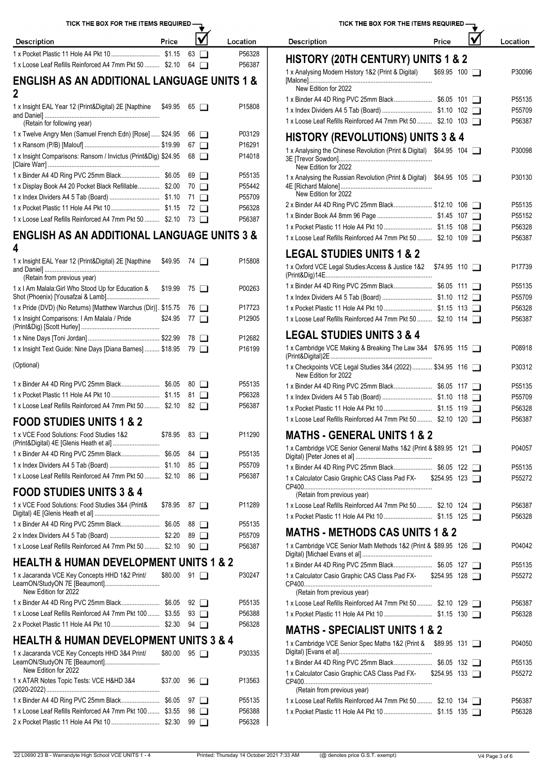| TICK THE BOX FOR THE ITEMS REQUIRED -                                                          |       |                         |                  | TICK THE BOX FOR THE ITEMS REQUIRED -                                                                 |                      |  |          |
|------------------------------------------------------------------------------------------------|-------|-------------------------|------------------|-------------------------------------------------------------------------------------------------------|----------------------|--|----------|
| <b>Description</b>                                                                             | Price | $\overline{\mathsf{v}}$ | Location         | <b>Description</b>                                                                                    | Price                |  | Location |
|                                                                                                |       | $63$ $\Box$             | P56328           | <b>HISTORY (20TH CENTURY) UNITS 1 &amp; 2</b>                                                         |                      |  |          |
| 1 x Loose Leaf Refills Reinforced A4 7mm Pkt 50  \$2.10 64                                     |       |                         | P56387           | 1 x Analysing Modern History 1&2 (Print & Digital)                                                    | \$69.95 100 □        |  | P30096   |
| <b>ENGLISH AS AN ADDITIONAL LANGUAGE UNITS 1 &amp;</b><br>$\mathbf 2$                          |       |                         |                  | New Edition for 2022                                                                                  |                      |  |          |
|                                                                                                |       |                         |                  |                                                                                                       |                      |  | P55135   |
| 1 x Insight EAL Year 12 (Print&Digital) 2E [Napthine \$49.95 65                                |       |                         | P15808           |                                                                                                       |                      |  | P55709   |
| (Retain for following year)                                                                    |       |                         |                  | 1 x Loose Leaf Refills Reinforced A4 7mm Pkt 50  \$2.10 103                                           |                      |  | P56387   |
| 1 x Twelve Angry Men (Samuel French Edn) [Rose]  \$24.95 66                                    |       |                         | P03129           | <b>HISTORY (REVOLUTIONS) UNITS 3 &amp; 4</b>                                                          |                      |  |          |
|                                                                                                |       |                         | P16291           | 1 x Analysing the Chinese Revolution (Print & Digital) \$64.95 104                                    |                      |  | P30098   |
| 1 x Insight Comparisons: Ransom / Invictus (Print&Dig) \$24.95 68                              |       |                         | P14018           | New Edition for 2022                                                                                  |                      |  |          |
|                                                                                                |       |                         | P55135           | 1 x Analysing the Russian Revolution (Print & Digital) \$64.95 105                                    |                      |  | P30130   |
| 1 x Display Book A4 20 Pocket Black Refillable \$2.00 70                                       |       |                         | P55442           | New Edition for 2022                                                                                  |                      |  |          |
|                                                                                                |       |                         | P55709           | 2 x Binder A4 4D Ring PVC 25mm Black \$12.10 106                                                      |                      |  | P55135   |
|                                                                                                |       |                         | P56328           |                                                                                                       |                      |  | P55152   |
| 1 x Loose Leaf Refills Reinforced A4 7mm Pkt 50  \$2.10 73                                     |       |                         | P56387           |                                                                                                       |                      |  | P56328   |
| <b>ENGLISH AS AN ADDITIONAL LANGUAGE UNITS 3 &amp;</b>                                         |       |                         |                  | 1 x Loose Leaf Refills Reinforced A4 7mm Pkt 50  \$2.10 109                                           |                      |  | P56387   |
| 4                                                                                              |       |                         |                  | <b>LEGAL STUDIES UNITS 1 &amp; 2</b>                                                                  |                      |  |          |
| 1 x Insight EAL Year 12 (Print&Digital) 2E [Napthine \$49.95 74<br>(Retain from previous year) |       |                         | P15808           | 1 x Oxford VCE Legal Studies: Access & Justice 1&2 \$74.95 110                                        |                      |  | P17739   |
| 1 x I Am Malala: Girl Who Stood Up for Education &                                             |       | $$19.99$ 75 $\Box$      | P00263           |                                                                                                       |                      |  | P55135   |
|                                                                                                |       |                         |                  |                                                                                                       |                      |  | P55709   |
| 1 x Pride (DVD) (No Returns) [Matthew Warchus (Dir)]. \$15.75 76                               |       |                         | P17723           |                                                                                                       |                      |  | P56328   |
| 1 x Insight Comparisons: I Am Malala / Pride                                                   |       | $$24.95$ 77 $\Box$      | P12905           | 1 x Loose Leaf Refills Reinforced A4 7mm Pkt 50  \$2.10 114                                           |                      |  | P56387   |
|                                                                                                |       |                         | P12682           | <b>LEGAL STUDIES UNITS 3 &amp; 4</b>                                                                  |                      |  |          |
| 1 x Insight Text Guide: Nine Days [Diana Barnes]  \$18.95 79                                   |       |                         | P16199           | 1 x Cambridge VCE Making & Breaking The Law 3&4 \$76.95 115                                           |                      |  | P08918   |
| (Optional)                                                                                     |       |                         |                  | 1 x Checkpoints VCE Legal Studies 3&4 (2022) \$34.95 116<br>New Edition for 2022                      |                      |  | P30312   |
|                                                                                                |       |                         | P55135           |                                                                                                       |                      |  | P55135   |
|                                                                                                |       |                         | P56328           |                                                                                                       |                      |  | P55709   |
| 1 x Loose Leaf Refills Reinforced A4 7mm Pkt 50  \$2.10 82                                     |       |                         | P56387           |                                                                                                       |                      |  | P56328   |
| <b>FOOD STUDIES UNITS 1 &amp; 2</b><br>1 x VCE Food Solutions: Food Studies 1&2                |       | $$78.95$ 83 $\Box$      | P11290           | 1 x Loose Leaf Refills Reinforced A4 7mm Pkt 50  \$2.10 120<br><b>MATHS - GENERAL UNITS 1 &amp; 2</b> |                      |  | P56387   |
|                                                                                                |       |                         |                  |                                                                                                       |                      |  |          |
|                                                                                                |       |                         | P55135           | 1 x Cambridge VCE Senior General Maths 1&2 (Print & \$89.95 121                                       |                      |  | P04057   |
|                                                                                                |       |                         | P55709           |                                                                                                       |                      |  | P55135   |
| 1 x Loose Leaf Refills Reinforced A4 7mm Pkt 50  \$2.10 86                                     |       |                         | P56387           | 1 x Calculator Casio Graphic CAS Class Pad FX-                                                        | $$254.95$ 123 $\Box$ |  | P55272   |
| <b>FOOD STUDIES UNITS 3 &amp; 4</b>                                                            |       |                         |                  | (Retain from previous year)                                                                           |                      |  |          |
| 1 x VCE Food Solutions: Food Studies 3&4 (Print&                                               |       | $$78.95$ 87 $\Box$      | P11289           | 1 x Loose Leaf Refills Reinforced A4 7mm Pkt 50  \$2.10 124                                           |                      |  | P56387   |
|                                                                                                |       |                         |                  |                                                                                                       |                      |  | P56328   |
|                                                                                                |       |                         | P55135           | <b>MATHS - METHODS CAS UNITS 1 &amp; 2</b>                                                            |                      |  |          |
|                                                                                                |       |                         | P55709           |                                                                                                       |                      |  |          |
| 1 x Loose Leaf Refills Reinforced A4 7mm Pkt 50  \$2.10 90                                     |       |                         | P56387           | 1 x Cambridge VCE Senior Math Methods 1&2 (Print & \$89.95 126                                        |                      |  | P04042   |
| <b>HEALTH &amp; HUMAN DEVELOPMENT UNITS 1 &amp; 2</b>                                          |       |                         |                  | 1 x Binder A4 4D Ring PVC 25mm Black \$6.05 127                                                       |                      |  | P55135   |
| 1 x Jacaranda VCE Key Concepts HHD 1&2 Print/                                                  |       | $$80.00$ 91 $\Box$      | P30247           | 1 x Calculator Casio Graphic CAS Class Pad FX- \$254.95 128                                           |                      |  | P55272   |
| New Edition for 2022                                                                           |       |                         |                  | (Retain from previous year)                                                                           |                      |  |          |
| 1 x Binder A4 4D Ring PVC 25mm Black \$6.05 92                                                 |       |                         | P55135           | 1 x Loose Leaf Refills Reinforced A4 7mm Pkt 50  \$2.10 129                                           |                      |  | P56387   |
| 1 x Loose Leaf Refills Reinforced A4 7mm Pkt 100  \$3.55 93                                    |       |                         | P56388<br>P56328 | <b>MATHS - SPECIALIST UNITS 1 &amp; 2</b>                                                             |                      |  | P56328   |
| <b>HEALTH &amp; HUMAN DEVELOPMENT UNITS 3 &amp; 4</b>                                          |       |                         |                  | 1 x Cambridge VCE Senior Spec Maths 1&2 (Print & \$89.95 131                                          |                      |  | P04050   |
| 1 x Jacaranda VCE Key Concepts HHD 3&4 Print/<br>LearnON/StudyON 7E [Beaumont]                 |       | $$80.00$ 95 $\Box$      | P30335           |                                                                                                       |                      |  | P55135   |
| New Edition for 2022<br>1 x ATAR Notes Topic Tests: VCE H&HD 3&4                               |       | $$37.00$ 96 $\Box$      | P13563           | 1 x Calculator Casio Graphic CAS Class Pad FX-                                                        | $$254.95$ 133 $\Box$ |  | P55272   |
|                                                                                                |       |                         |                  | (Retain from previous year)                                                                           |                      |  |          |
| 1 x Loose Leaf Refills Reinforced A4 7mm Pkt 100  \$3.55 98                                    |       |                         | P55135           | 1 x Loose Leaf Refills Reinforced A4 7mm Pkt 50  \$2.10 134                                           |                      |  | P56387   |
|                                                                                                |       |                         | P56388           |                                                                                                       |                      |  | P56328   |
|                                                                                                |       |                         | P56328           |                                                                                                       |                      |  |          |

| TICK THE BOX FOR THE ITEMS REQUIRED -                                                                                                              |             |  |                    |
|----------------------------------------------------------------------------------------------------------------------------------------------------|-------------|--|--------------------|
| <b>Description</b>                                                                                                                                 | Price       |  | Location           |
| <b>HISTORY (20TH CENTURY) UNITS 1 &amp; 2</b>                                                                                                      |             |  |                    |
| 1 x Analysing Modern History 1&2 (Print & Digital)                                                                                                 | \$69.95 100 |  | P30096             |
| New Edition for 2022                                                                                                                               |             |  |                    |
|                                                                                                                                                    |             |  | P <sub>55135</sub> |
|                                                                                                                                                    |             |  | P55709             |
| 1 x Loose Leaf Refills Reinforced A4 7mm Pkt 50  \$2.10 103                                                                                        |             |  | P56387             |
| <b>HISTORY (REVOLUTIONS) UNITS 3 &amp; 4</b>                                                                                                       |             |  |                    |
| 1 x Analysing the Chinese Revolution (Print & Digital) \$64.95 104                                                                                 |             |  |                    |
| New Edition for 2022                                                                                                                               |             |  | P30098             |
| 1 x Analysing the Russian Revolution (Print & Digital) \$64.95 105<br>New Edition for 2022                                                         |             |  | P30130             |
| 2 x Binder A4 4D Ring PVC 25mm Black \$12.10 106                                                                                                   |             |  | P55135             |
|                                                                                                                                                    |             |  | P <sub>55152</sub> |
|                                                                                                                                                    |             |  | P56328             |
| 1 x Loose Leaf Refills Reinforced A4 7mm Pkt 50  \$2.10 109                                                                                        |             |  | P56387             |
| <b>LEGAL STUDIES UNITS 1 &amp; 2</b>                                                                                                               |             |  |                    |
| 1 x Oxford VCE Legal Studies: Access & Justice 1&2 \$74.95 110                                                                                     |             |  | P17739             |
|                                                                                                                                                    |             |  | P <sub>55135</sub> |
|                                                                                                                                                    |             |  | P55709             |
|                                                                                                                                                    |             |  | P56328             |
| 1 x Loose Leaf Refills Reinforced A4 7mm Pkt 50  \$2.10 114                                                                                        |             |  | P56387             |
| <b>LEGAL STUDIES UNITS 3 &amp; 4</b>                                                                                                               |             |  |                    |
| 1 x Cambridge VCE Making & Breaking The Law 3&4 \$76.95 115                                                                                        |             |  | P08918             |
| 1 x Checkpoints VCE Legal Studies 3&4 (2022) \$34.95 116<br>New Edition for 2022                                                                   |             |  | P30312             |
|                                                                                                                                                    |             |  | P55135             |
|                                                                                                                                                    |             |  | P55709             |
|                                                                                                                                                    |             |  | P56328             |
| 1 x Loose Leaf Refills Reinforced A4 7mm Pkt 50  \$2.10 120                                                                                        |             |  | P56387             |
| <b>MATHS - GENERAL UNITS 1 &amp; 2</b>                                                                                                             |             |  |                    |
| 1 x Cambridge VCE Senior General Maths 1&2 (Print & \$89.95 121                                                                                    |             |  | P04057             |
| 1 x Binder A4 4D Ring PVC 25mm Black \$6.05 122                                                                                                    |             |  | P55135             |
| 1 x Calculator Casio Graphic CAS Class Pad FX- \$254.95 123                                                                                        |             |  | P55272             |
| (Retain from previous year)<br>1 x Loose Leaf Refills Reinforced A4 7mm Pkt 50  \$2.10 124                                                         |             |  | P56387             |
|                                                                                                                                                    |             |  | P56328             |
|                                                                                                                                                    |             |  |                    |
| <b>MATHS - METHODS CAS UNITS 1 &amp; 2</b>                                                                                                         |             |  |                    |
| 1 x Cambridge VCE Senior Math Methods 1&2 (Print & \$89.95 126                                                                                     |             |  | P04042             |
| 1 x Binder A4 4D Ring PVC 25mm Black \$6.05 127                                                                                                    |             |  | P55135             |
| 1 x Calculator Casio Graphic CAS Class Pad FX- \$254.95 128<br>(Retain from previous year)                                                         |             |  | P55272             |
| 1 x Loose Leaf Refills Reinforced A4 7mm Pkt 50  \$2.10 129                                                                                        |             |  | P56387             |
|                                                                                                                                                    |             |  | P56328             |
| <b>MATHS - SPECIALIST UNITS 1 &amp; 2</b>                                                                                                          |             |  |                    |
| 1 x Cambridge VCE Senior Spec Maths 1&2 (Print & \$89.95 131                                                                                       |             |  | P04050             |
| 1 x Binder A4 4D Ring PVC 25mm Black \$6.05 132                                                                                                    |             |  | P55135             |
| 1 x Calculator Casio Graphic CAS Class Pad FX- \$254.95 133                                                                                        |             |  | P55272             |
| (Retain from previous year)<br>$\overline{1000000}$ $\overline{10100}$ $\overline{11100}$ $\overline{11100}$ $\overline{10100}$ $\overline{10100}$ |             |  |                    |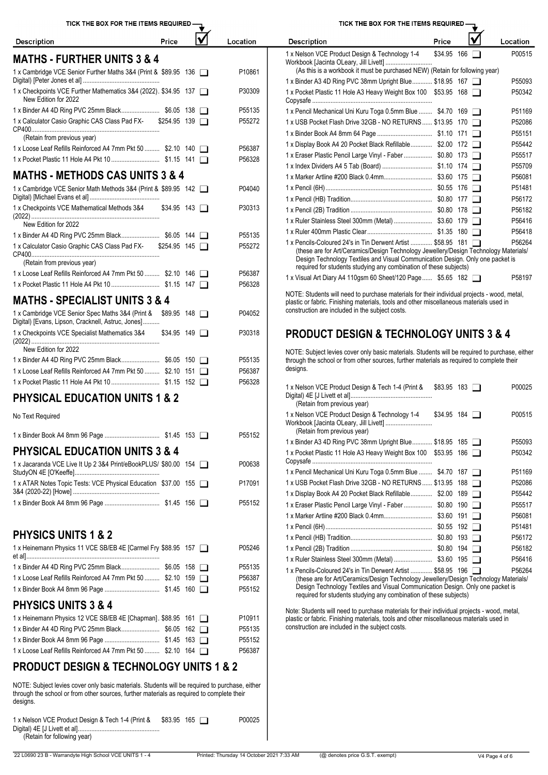(Retain for following year) 1 x Nelson VCE Product Design & Tech 1-4 (Print & Digital) 4E [J Livett et al]................................................. \$83.95 <sup>165</sup> P00025

|  | TICK THE BOX FOR THE ITEMS REQUIRED $\mathcal{I}_{\mathbf{\mathbf{\mathbf{\mathbf{\mathbf{\mathbf{\mathbf{\mathbf{X}}}}}}}}$ |
|--|------------------------------------------------------------------------------------------------------------------------------|
|  |                                                                                                                              |

Price

Location

| <b>MATHS - FURTHER UNITS 3 &amp; 4</b>                                                  |                               |               | 1 x Nelson VCE Product Desig<br>Workbook [Jacinta OLeary, Jill |
|-----------------------------------------------------------------------------------------|-------------------------------|---------------|----------------------------------------------------------------|
| 1 x Cambridge VCE Senior Further Maths 3&4 (Print & \$89.95 136                         |                               | P10861        | (As this is a workbook it mi                                   |
|                                                                                         |                               |               | 1 x Binder A3 4D Ring PVC 38                                   |
| 1 x Checkpoints VCE Further Mathematics 3&4 (2022). \$34.95 137<br>New Edition for 2022 |                               | P30309        | 1 x Pocket Plastic 11 Hole A3<br>Copysafe                      |
|                                                                                         |                               | P55135        | 1 x Pencil Mechanical Uni Kurt                                 |
| 1 v Calculator Casio Craphic CAS Class Pad EY.                                          | $\sqrt{25405}$ 130 $\sqrt{1}$ | <b>D55272</b> | 1 v UCD Dealtat Floab Drive 20                                 |

Description

| 1 x Calculator Casio Graphic CAS Class Pad FX-<br>$$254.95$ 139        | P <sub>55272</sub> | 1 x USB Pocket Flash Drive 32                                                           |
|------------------------------------------------------------------------|--------------------|-----------------------------------------------------------------------------------------|
| (Retain from previous year)                                            |                    | 1 x Binder Book A4 8mm 64 P                                                             |
| 1 x Loose Leaf Refills Reinforced A4 7mm Pkt 50  \$2.10 140            | P56387             | 1 x Display Book A4 20 Pocket                                                           |
|                                                                        | P56328             | 1 x Eraser Plastic Pencil Large                                                         |
|                                                                        |                    | 1 x Index Dividers A4 5 Tab (B                                                          |
| <b>MATHS - METHODS CAS UNITS 3 &amp; 4</b>                             |                    | 1 x Marker Artline #200 Black (                                                         |
| 1 x Cambridge VCE Senior Math Methods 3&4 (Print & \$89.95 142         | P04040             | 1 x Pencil (6H)                                                                         |
|                                                                        |                    | 1 x Pencil (HB) Tradition                                                               |
| 1 x Checkpoints VCE Mathematical Methods 3&4<br>$$34.95$ 143 $\Box$    | P30313             | 1 x Pencil (2B) Tradition                                                               |
| New Edition for 2022                                                   |                    | 1 x Ruler Stainless Steel 300m                                                          |
|                                                                        | P55135             | 1 x Ruler 400mm Plastic Clear                                                           |
| $$254.95$ 145 $\Box$<br>1 x Calculator Casio Graphic CAS Class Pad FX- | P55272             | 1 x Pencils-Coloured 24's in Ti                                                         |
| (Retain from previous year)                                            |                    | (these are for Art/Ceramics<br>Design Technology Textile<br>required for students study |
| 1 x Loose Leaf Refills Reinforced A4 7mm Pkt 50  \$2.10 146            | P56387             |                                                                                         |

### **MATHS - SPECIALIST UNITS 3 & 4** 1 x Loose Leaf Refills Reinforced A4 7mm Pkt 50 ......... \$2.10 146 Page P56387 Process A4 110 ass 1 x Pocket Plastic 11 Hole A4 Pkt 10 ............................. \$1.15 147 P56328

| MAIHS - SPECIALISI UNIIS 3 & 4                                                                                               | plastic or fabric. Finishing materials, tools and other miscellaneous materials used in        |
|------------------------------------------------------------------------------------------------------------------------------|------------------------------------------------------------------------------------------------|
| P04052<br>1 x Cambridge VCE Senior Spec Maths 3&4 (Print & \$89.95 148<br>Digital) [Evans, Lipson, Cracknell, Astruc, Jones] | construction are included in the subject costs.                                                |
| 1 x Checkpoints VCE Specialist Mathematics 3&4<br>P30318<br>$$34.95$ 149 $\Box$                                              | <b>PRODUCT DESIGN &amp; TECHNOLOGY UNITS 3 &amp; 4</b>                                         |
| New Edition for 2022                                                                                                         | NOTE: Subject levies cover only basic materials. Students will be required to purchase, either |
| P55135                                                                                                                       | through the school or from other sources, further materials as required to complete their      |
| 1 x Loose Leaf Refills Reinforced A4 7mm Pkt 50  \$2.10 151<br>P56387                                                        | designs.                                                                                       |
| P56328                                                                                                                       |                                                                                                |

# **PHYSICAL EDUCATION UNITS 1 & 2**

No Text Required

|                                                                 | (Retain from previous year<br>P55152      |
|-----------------------------------------------------------------|-------------------------------------------|
|                                                                 | 1 x Binder A3 4D Ring PVC 38              |
| <b>PHYSICAL EDUCATION UNITS 3 &amp; 4</b>                       | 1 x Pocket Plastic 11 Hole A3             |
| 1 x Jacaranda VCE Live It Up 2 3&4 Print/eBookPLUS/ \$80.00 154 | P00638                                    |
|                                                                 | 1 x Pencil Mechanical Uni Kurt            |
| 1 x ATAR Notes Topic Tests: VCE Physical Education \$37.00 155  | 1 x USB Pocket Flash Drive 32<br>P17091   |
|                                                                 | 1 x Display Book A4 20 Pocket             |
|                                                                 | P55152<br>1 x Eraser Plastic Pencil Large |

# **PHYSICS UNITS 1 & 2**

| P05246<br>P56182<br>P56416<br>P55135                                                           |                                                               |                                                                        |
|------------------------------------------------------------------------------------------------|---------------------------------------------------------------|------------------------------------------------------------------------|
|                                                                                                | 1 x Heinemann Physics 11 VCE SB/EB 4E [Carmel Fry \$88.95 157 |                                                                        |
|                                                                                                |                                                               |                                                                        |
|                                                                                                |                                                               | 1 x Pencils-Coloured 24's in Tin Derwent Artist  \$58.95 196<br>P56264 |
| P56387<br>(these are for Art/Ceramics/Design Technology Jewellery/Design Technology Materials/ | 1 x Loose Leaf Refills Reinforced A4 7mm Pkt 50  \$2.10 159   |                                                                        |
| Design Technology Textiles and Visual Communication Design. Only one packet is<br>P55152       |                                                               |                                                                        |
| required for students studying any combination of these subjects)                              | $\blacksquare$                                                |                                                                        |

# **PHYSICS UNITS 3 & 4**

| 1 x Heinemann Physics 12 VCE SB/EB 4E [Chapman]. \$88.95 161 |  | P10911 | increased the main the contraction of the contract include the contractor of the contractory<br>plastic or fabric. Finishing materials, tools and other miscellaneous materials used in |
|--------------------------------------------------------------|--|--------|-----------------------------------------------------------------------------------------------------------------------------------------------------------------------------------------|
|                                                              |  | P55135 | construction are included in the subject costs.                                                                                                                                         |
|                                                              |  | P55152 |                                                                                                                                                                                         |
| 1 x Loose Leaf Refills Reinforced A4 7mm Pkt 50  \$2.10 164  |  | P56387 |                                                                                                                                                                                         |

# **PRODUCT DESIGN & TECHNOLOGY UNITS 1 & 2**

NOTE: Subject levies cover only basic materials. Students will be required to purchase, either through the school or from other sources, further materials as required to complete their

| <b>Description</b>                                                                                                                                                                                                                                                                                          | Price       |     | Location           |  |  |  |  |  |  |  |
|-------------------------------------------------------------------------------------------------------------------------------------------------------------------------------------------------------------------------------------------------------------------------------------------------------------|-------------|-----|--------------------|--|--|--|--|--|--|--|
| 1 x Nelson VCE Product Design & Technology 1-4<br>(As this is a workbook it must be purchased NEW) (Retain for following year)                                                                                                                                                                              | \$34.95 166 |     | P00515             |  |  |  |  |  |  |  |
| 1 x Binder A3 4D Ring PVC 38mm Upright Blue \$18.95 167                                                                                                                                                                                                                                                     |             |     | P55093             |  |  |  |  |  |  |  |
| 1 x Pocket Plastic 11 Hole A3 Heavy Weight Box 100 \$53.95 168                                                                                                                                                                                                                                              |             |     | P50342             |  |  |  |  |  |  |  |
| 1 x Pencil Mechanical Uni Kuru Toga 0.5mm Blue  \$4.70 169                                                                                                                                                                                                                                                  |             |     | P51169             |  |  |  |  |  |  |  |
| 1 x USB Pocket Flash Drive 32GB - NO RETURNS \$13.95 170                                                                                                                                                                                                                                                    |             |     | P52086             |  |  |  |  |  |  |  |
|                                                                                                                                                                                                                                                                                                             |             |     | P <sub>55151</sub> |  |  |  |  |  |  |  |
| 1 x Display Book A4 20 Pocket Black Refillable \$2.00 172                                                                                                                                                                                                                                                   |             |     | P55442             |  |  |  |  |  |  |  |
| 1 x Eraser Plastic Pencil Large Vinyl - Faber \$0.80 173                                                                                                                                                                                                                                                    |             |     | P55517             |  |  |  |  |  |  |  |
|                                                                                                                                                                                                                                                                                                             |             |     | P55709             |  |  |  |  |  |  |  |
|                                                                                                                                                                                                                                                                                                             |             |     | P56081             |  |  |  |  |  |  |  |
|                                                                                                                                                                                                                                                                                                             |             | 176 | P51481             |  |  |  |  |  |  |  |
|                                                                                                                                                                                                                                                                                                             |             | 177 | P56172             |  |  |  |  |  |  |  |
|                                                                                                                                                                                                                                                                                                             |             |     | P56182             |  |  |  |  |  |  |  |
|                                                                                                                                                                                                                                                                                                             |             | 179 | P56416             |  |  |  |  |  |  |  |
|                                                                                                                                                                                                                                                                                                             |             |     | P56418             |  |  |  |  |  |  |  |
| 1 x Pencils-Coloured 24's in Tin Derwent Artist  \$58.95 181<br>(these are for Art/Ceramics/Design Technology Jewellery/Design Technology Materials/<br>Design Technology Textiles and Visual Communication Design. Only one packet is<br>required for students studying any combination of these subjects) |             |     | P56264             |  |  |  |  |  |  |  |
| 1 x Visual Art Diary A4 110gsm 60 Sheet/120 Page \$5.65 182                                                                                                                                                                                                                                                 |             |     | P58197             |  |  |  |  |  |  |  |

NOTE: Students will need to purchase materials for their individual projects - wood, metal, plastic or fabric. Finishing materials, tools and other miscellaneous materials used in construction are included in the subject costs.

| 1 x Nelson VCE Product Design & Tech 1-4 (Print &<br>(Retain from previous year)                                                                     | \$83.95 183         |     |                | P00025 |
|------------------------------------------------------------------------------------------------------------------------------------------------------|---------------------|-----|----------------|--------|
| 1 x Nelson VCE Product Design & Technology 1-4<br>(Retain from previous year)                                                                        | $$34.95$ 184 $\Box$ |     |                | P00515 |
| 1 x Binder A3 4D Ring PVC 38mm Upright Blue \$18.95 185                                                                                              |                     |     |                | P55093 |
| 1 x Pocket Plastic 11 Hole A3 Heavy Weight Box 100 \$53.95 186                                                                                       |                     |     | $\blacksquare$ | P50342 |
| 1 x Pencil Mechanical Uni Kuru Toga 0.5mm Blue  \$4.70 187                                                                                           |                     |     |                | P51169 |
| 1 x USB Pocket Flash Drive 32GB - NO RETURNS \$13.95 188                                                                                             |                     |     | $\blacksquare$ | P52086 |
| 1 x Display Book A4 20 Pocket Black Refillable \$2.00                                                                                                |                     | 189 | $\mathbf{L}$   | P55442 |
| 1 x Eraser Plastic Pencil Large Vinyl - Faber  \$0.80                                                                                                |                     | 190 | $\blacksquare$ | P55517 |
|                                                                                                                                                      |                     | 191 | $\blacksquare$ | P56081 |
|                                                                                                                                                      |                     | 192 | $\mathbf{L}$   | P51481 |
|                                                                                                                                                      |                     | 193 | $\perp$        | P56172 |
|                                                                                                                                                      |                     |     | $\blacksquare$ | P56182 |
|                                                                                                                                                      |                     | 195 | $\perp$        | P56416 |
| 1 x Pencils-Coloured 24's in Tin Derwent Artist  \$58.95 196<br>(these are for Art/Ceramics/Design Technology Jewellery/Design Technology Materials) |                     |     |                | P56264 |

Note: Students will need to purchase materials for their individual projects - wood, metal,

TICK THE BOX FOR THE ITEMS REQUIRED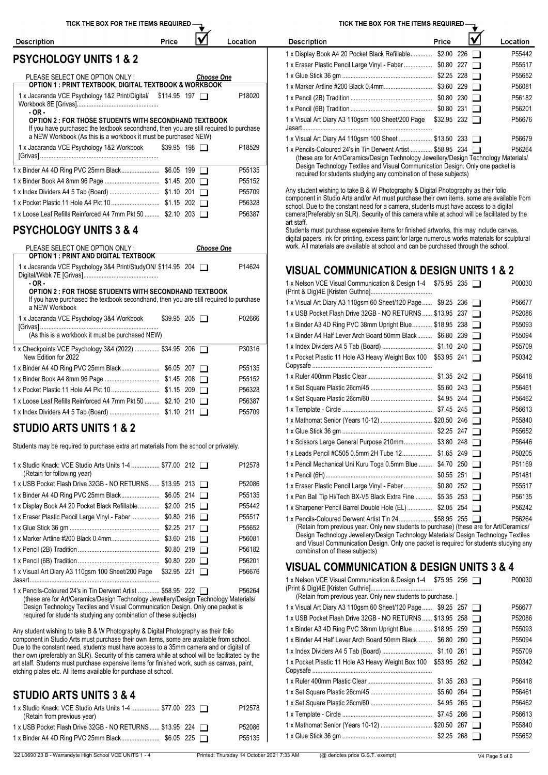| TICK THE BOX FOR THE ITEMS REQUIRED -                                                                                                                                             |                     |                   |                                           | TICK THE BOX FOR THE ITEMS REQUIRED -                                                                                                                                                    |       |                  |
|-----------------------------------------------------------------------------------------------------------------------------------------------------------------------------------|---------------------|-------------------|-------------------------------------------|------------------------------------------------------------------------------------------------------------------------------------------------------------------------------------------|-------|------------------|
| <b>Description</b>                                                                                                                                                                | Price               | V                 | Location                                  | <b>Description</b>                                                                                                                                                                       | Price | Location         |
| <b>PSYCHOLOGY UNITS 1 &amp; 2</b>                                                                                                                                                 |                     |                   |                                           | 1 x Display Book A4 20 Pocket Black Refillable \$2.00 226                                                                                                                                |       | P55442           |
|                                                                                                                                                                                   |                     |                   |                                           | 1 x Eraser Plastic Pencil Large Vinyl - Faber  \$0.80 227                                                                                                                                |       | P55517           |
| PLEASE SELECT ONE OPTION ONLY:                                                                                                                                                    |                     | <b>Choose One</b> |                                           |                                                                                                                                                                                          |       | P55652           |
| <b>OPTION 1 : PRINT TEXTBOOK, DIGITAL TEXTBOOK &amp; WORKBOOK</b>                                                                                                                 |                     |                   |                                           |                                                                                                                                                                                          |       | P56081           |
| 1 x Jacaranda VCE Psychology 1&2 Print/Digital/ \$114.95 197                                                                                                                      |                     |                   | P18020                                    |                                                                                                                                                                                          |       | P56182           |
| $-OR -$                                                                                                                                                                           |                     |                   |                                           |                                                                                                                                                                                          |       | P56201           |
| <b>OPTION 2: FOR THOSE STUDENTS WITH SECONDHAND TEXTBOOK</b><br>If you have purchased the textbook secondhand, then you are still required to purchase                            |                     |                   |                                           | 1 x Visual Art Diary A3 110gsm 100 Sheet/200 Page \$32.95 232                                                                                                                            |       | P56676           |
| a NEW Workbook (As this is a workbook it must be purchased NEW)                                                                                                                   |                     |                   |                                           | 1 x Visual Art Diary A4 110gsm 100 Sheet  \$13.50 233                                                                                                                                    |       | P56679           |
| 1 x Jacaranda VCE Psychology 1&2 Workbook                                                                                                                                         | $$39.95$ 198 $\Box$ |                   | P18529                                    | 1 x Pencils-Coloured 24's in Tin Derwent Artist  \$58.95 234                                                                                                                             |       | P56264           |
|                                                                                                                                                                                   |                     |                   |                                           | (these are for Art/Ceramics/Design Technology Jewellery/Design Technology Materials/                                                                                                     |       |                  |
|                                                                                                                                                                                   |                     |                   | P55135                                    | Design Technology Textiles and Visual Communication Design. Only one packet is<br>required for students studying any combination of these subjects)                                      |       |                  |
|                                                                                                                                                                                   |                     |                   | P55152                                    |                                                                                                                                                                                          |       |                  |
|                                                                                                                                                                                   |                     |                   | P55709                                    | Any student wishing to take B & W Photography & Digital Photography as their folio<br>component in Studio Arts and/or Art must purchase their own items, some are available from         |       |                  |
|                                                                                                                                                                                   |                     |                   | P56328                                    | school. Due to the constant need for a camera, students must have access to a digital                                                                                                    |       |                  |
| 1 x Loose Leaf Refills Reinforced A4 7mm Pkt 50  \$2.10 203                                                                                                                       |                     |                   | P56387                                    | camera (Preferably an SLR). Security of this camera while at school will be facilitated by the<br>art staff.                                                                             |       |                  |
| <b>PSYCHOLOGY UNITS 3 &amp; 4</b>                                                                                                                                                 |                     |                   |                                           | Students must purchase expensive items for finished artworks, this may include canvas,                                                                                                   |       |                  |
|                                                                                                                                                                                   |                     |                   |                                           | digital papers, ink for printing, excess paint for large numerous works materials for sculptural<br>work. All materials are available at school and can be purchased through the school. |       |                  |
| PLEASE SELECT ONE OPTION ONLY:<br><b>OPTION 1: PRINT AND DIGITAL TEXTBOOK</b>                                                                                                     |                     | <b>Choose One</b> |                                           |                                                                                                                                                                                          |       |                  |
| 1 x Jacaranda VCE Psychology 3&4 Print/StudyON/ \$114.95 204                                                                                                                      |                     |                   | P14624                                    | <b>VISUAL COMMUNICATION &amp; DESIGN UNITS 1 &amp; 2</b>                                                                                                                                 |       |                  |
|                                                                                                                                                                                   |                     |                   |                                           |                                                                                                                                                                                          |       |                  |
| - OR -<br><b>OPTION 2: FOR THOSE STUDENTS WITH SECONDHAND TEXTBOOK</b>                                                                                                            |                     |                   |                                           | 1 x Nelson VCE Visual Communication & Design 1-4 \$75.95 235                                                                                                                             |       | P00030           |
| If you have purchased the textbook secondhand, then you are still required to purchase                                                                                            |                     |                   |                                           | 1 x Visual Art Diary A3 110gsm 60 Sheet/120 Page  \$9.25 236                                                                                                                             |       | P56677           |
| a NEW Workbook                                                                                                                                                                    |                     |                   |                                           | 1 x USB Pocket Flash Drive 32GB - NO RETURNS  \$13.95 237                                                                                                                                |       | P52086           |
| 1 x Jacaranda VCE Psychology 3&4 Workbook                                                                                                                                         | $$39.95$ 205 $\Box$ |                   | P02666                                    | 1 x Binder A3 4D Ring PVC 38mm Upright Blue \$18.95 238                                                                                                                                  |       | P55093           |
| (As this is a workbook it must be purchased NEW)                                                                                                                                  |                     |                   |                                           | 1 x Binder A4 Half Lever Arch Board 50mm Black \$6.80 239                                                                                                                                |       | P55094           |
| 1 x Checkpoints VCE Psychology 3&4 (2022)  \$34.95 206                                                                                                                            |                     |                   | P30316                                    |                                                                                                                                                                                          |       | P55709           |
| New Edition for 2022                                                                                                                                                              |                     |                   |                                           | 1 x Pocket Plastic 11 Hole A3 Heavy Weight Box 100 \$53.95 241                                                                                                                           |       | P50342           |
|                                                                                                                                                                                   |                     |                   | P55135                                    |                                                                                                                                                                                          |       |                  |
|                                                                                                                                                                                   |                     |                   | P55152                                    |                                                                                                                                                                                          |       | P56418           |
|                                                                                                                                                                                   |                     |                   | P56328                                    |                                                                                                                                                                                          |       | P56461           |
| 1 x Loose Leaf Refills Reinforced A4 7mm Pkt 50  \$2.10 210                                                                                                                       |                     |                   | P56387                                    |                                                                                                                                                                                          |       | P56462           |
|                                                                                                                                                                                   |                     |                   | P55709                                    | 1 x Mathomat Senior (Years 10-12)  \$20.50 246                                                                                                                                           |       | P56613<br>P55840 |
| STUDIO ARTS UNITS 1 & 2                                                                                                                                                           |                     |                   |                                           |                                                                                                                                                                                          |       | P55652           |
|                                                                                                                                                                                   |                     |                   |                                           | 1 x Scissors Large General Purpose 210mm \$3.80 248                                                                                                                                      |       | P56446           |
| Students may be required to purchase extra art materials from the school or privately.                                                                                            |                     |                   |                                           | 1 x Leads Pencil #C505 0.5mm 2H Tube 12 \$1.65 249                                                                                                                                       |       | P50205           |
| 1 x Studio Knack: VCE Studio Arts Units 1-4  \$77.00 212                                                                                                                          |                     |                   | P12578                                    | 1 x Pencil Mechanical Uni Kuru Toga 0.5mm Blue  \$4.70 250                                                                                                                               |       | P51169           |
| (Retain for following year)                                                                                                                                                       |                     |                   |                                           |                                                                                                                                                                                          |       | P51481           |
| 1 x USB Pocket Flash Drive 32GB - NO RETURNS  \$13.95 213                                                                                                                         |                     |                   | P52086                                    | 1 x Eraser Plastic Pencil Large Vinyl - Faber  \$0.80 252                                                                                                                                |       | P55517           |
|                                                                                                                                                                                   |                     |                   | P55135                                    | 1 x Pen Ball Tip Hi/Tech BX-V5 Black Extra Fine  \$5.35 253                                                                                                                              |       | P56135           |
| 1 x Display Book A4 20 Pocket Black Refillable \$2.00 215                                                                                                                         |                     |                   | P55442                                    | 1 x Sharpener Pencil Barrel Double Hole (EL) \$2.05 254                                                                                                                                  |       | P56242           |
| 1 x Eraser Plastic Pencil Large Vinyl - Faber  \$0.80 216                                                                                                                         |                     |                   | P55517                                    | 1 x Pencils-Coloured Derwent Artist Tin 24 \$58.95 255                                                                                                                                   |       | P56264           |
|                                                                                                                                                                                   |                     |                   | P55652                                    | (Retain from previous year. Only new students to purchase) (these are for Art/Ceramics/<br>Design Technology Jewellery/Design Technology Materials/ Design Technology Textiles           |       |                  |
|                                                                                                                                                                                   |                     |                   | P56081                                    | and Visual Communication Design. Only one packet is required for students studying any                                                                                                   |       |                  |
|                                                                                                                                                                                   |                     |                   | P56182                                    | combination of these subjects)                                                                                                                                                           |       |                  |
|                                                                                                                                                                                   |                     |                   | P56201                                    | <b>VISUAL COMMUNICATION &amp; DESIGN UNITS 3 &amp; 4</b>                                                                                                                                 |       |                  |
| 1 x Visual Art Diary A3 110gsm 100 Sheet/200 Page \$32.95 221                                                                                                                     |                     |                   | P56676                                    | 1 x Nelson VCE Visual Communication & Design 1-4 \$75.95 256                                                                                                                             |       | P00030           |
| 1 x Pencils-Coloured 24's in Tin Derwent Artist  \$58.95 222                                                                                                                      |                     |                   | P56264                                    |                                                                                                                                                                                          |       |                  |
| (these are for Art/Ceramics/Design Technology Jewellery/Design Technology Materials/                                                                                              |                     |                   |                                           | (Retain from previous year. Only new students to purchase.)                                                                                                                              |       |                  |
| Design Technology Textiles and Visual Communication Design. Only one packet is<br>required for students studying any combination of these subjects)                               |                     |                   |                                           | 1 x Visual Art Diary A3 110gsm 60 Sheet/120 Page  \$9.25 257                                                                                                                             |       | P56677           |
|                                                                                                                                                                                   |                     |                   |                                           | 1 x USB Pocket Flash Drive 32GB - NO RETURNS  \$13.95 258                                                                                                                                |       | P52086           |
| Any student wishing to take B & W Photography & Digital Photography as their folio                                                                                                |                     |                   |                                           | 1 x Binder A3 4D Ring PVC 38mm Upright Blue \$18.95 259                                                                                                                                  |       | P55093           |
| component in Studio Arts must purchase their own items, some are available from school.<br>Due to the constant need, students must have access to a 35mm camera and or digital of |                     |                   |                                           | 1 x Binder A4 Half Lever Arch Board 50mm Black \$6.80 260                                                                                                                                |       | P55094           |
| their own (preferably an SLR). Security of this camera while at school will be facilitated by the                                                                                 |                     |                   |                                           |                                                                                                                                                                                          |       | P55709           |
| art staff. Students must purchase expensive items for finished work, such as canvas, paint,<br>etching plates etc. All items available for purchase at school.                    |                     |                   |                                           | 1 x Pocket Plastic 11 Hole A3 Heavy Weight Box 100 \$53.95 262                                                                                                                           |       | P50342           |
|                                                                                                                                                                                   |                     |                   |                                           |                                                                                                                                                                                          |       | P56418           |
| STUDIO ARTS UNITS 3 & 4                                                                                                                                                           |                     |                   |                                           |                                                                                                                                                                                          |       | P56461           |
|                                                                                                                                                                                   |                     |                   |                                           |                                                                                                                                                                                          |       | P56462           |
| 1 x Studio Knack: VCE Studio Arts Units 1-4  \$77.00 223<br>(Retain from previous year)                                                                                           |                     |                   | P12578                                    |                                                                                                                                                                                          |       | P56613           |
| 1 x USB Pocket Flash Drive 32GB - NO RETURNS  \$13.95 224                                                                                                                         |                     |                   | P52086                                    | 1 x Mathomat Senior (Years 10-12)  \$20.50 267                                                                                                                                           |       | P55840           |
|                                                                                                                                                                                   |                     |                   | P55135                                    |                                                                                                                                                                                          |       | P55652           |
|                                                                                                                                                                                   |                     |                   |                                           |                                                                                                                                                                                          |       |                  |
| 22 L0690 23 B - Warrandyte High School VCE UNITS 1 - 4                                                                                                                            |                     |                   | Printed: Thursday 14 October 2021 7:33 AM | (@ denotes price G.S.T. exempt)                                                                                                                                                          |       | V4 Page 5 of 6   |

| TIGRI THE BOA FOR THE ITEMS REQUIRED -                      |       |                     |          |
|-------------------------------------------------------------|-------|---------------------|----------|
| Description                                                 | Price |                     | Location |
| 1 x Display Book A4 20 Pocket Black Refillable \$2.00 226   |       |                     | P55442   |
| 1 x Eraser Plastic Pencil Large Vinyl - Faber  \$0.80 227   |       |                     | P55517   |
|                                                             |       |                     | P55652   |
|                                                             |       |                     | P56081   |
|                                                             |       |                     | P56182   |
|                                                             |       |                     | P56201   |
| 1 x Visual Art Diary A3 110gsm 100 Sheet/200 Page<br>Jasart |       | $$32.95$ 232 $\Box$ | P56676   |
| 1 x Visual Art Diary A4 110gsm 100 Sheet  \$13.50 233       |       |                     | P56679   |

TIOK TUE DOY COD TUE ITEMS DEQUIDED

| 1 x Nelson VCE Visual Communication & Design 1-4 \$75.95 235                                                                                      |                | P00030 |
|---------------------------------------------------------------------------------------------------------------------------------------------------|----------------|--------|
| 1 x Visual Art Diary A3 110gsm 60 Sheet/120 Page \$9.25 236                                                                                       |                | P56677 |
| 1 x USB Pocket Flash Drive 32GB - NO RETURNS \$13.95 237                                                                                          |                | P52086 |
| 1 x Binder A3 4D Ring PVC 38mm Upright Blue \$18.95 238                                                                                           |                | P55093 |
| 1 x Binder A4 Half Lever Arch Board 50mm Black \$6.80 239                                                                                         |                | P55094 |
|                                                                                                                                                   | ΓI             | P55709 |
| 1 x Pocket Plastic 11 Hole A3 Heavy Weight Box 100 \$53.95 241                                                                                    |                | P50342 |
|                                                                                                                                                   |                | P56418 |
|                                                                                                                                                   |                | P56461 |
|                                                                                                                                                   |                | P56462 |
|                                                                                                                                                   |                | P56613 |
| 1 x Mathomat Senior (Years 10-12)  \$20.50 246                                                                                                    |                | P55840 |
|                                                                                                                                                   |                | P55652 |
| 1 x Scissors Large General Purpose 210mm \$3.80 248                                                                                               |                | P56446 |
| 1 x Leads Pencil #C505 0.5mm 2H Tube 12 \$1.65 249                                                                                                |                | P50205 |
| 1 x Pencil Mechanical Uni Kuru Toga 0.5mm Blue  \$4.70 250                                                                                        |                | P51169 |
|                                                                                                                                                   |                | P51481 |
| 1 x Eraser Plastic Pencil Large Vinyl - Faber  \$0.80 252                                                                                         |                | P55517 |
| 1 x Pen Ball Tip Hi/Tech BX-V5 Black Extra Fine  \$5.35 253                                                                                       | $\perp$        | P56135 |
| 1 x Sharpener Pencil Barrel Double Hole (EL) \$2.05 254                                                                                           | $\blacksquare$ | P56242 |
| 1 x Pencils-Coloured Derwent Artist Tin 24 \$58.95 255<br>(Retain from previous year. Only new students to purchase) (these are for Art/Ceramics/ |                | P56264 |